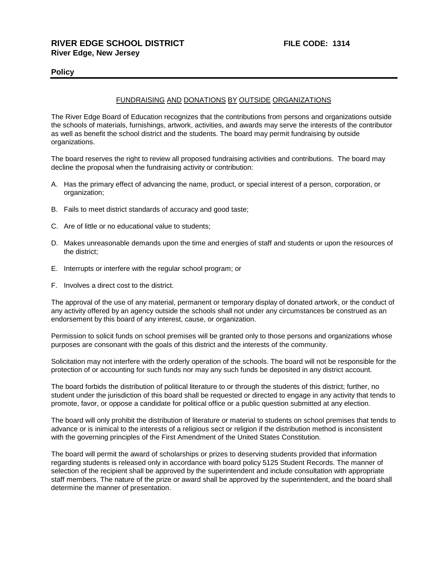## **Policy**

### FUNDRAISING AND DONATIONS BY OUTSIDE ORGANIZATIONS

The River Edge Board of Education recognizes that the contributions from persons and organizations outside the schools of materials, furnishings, artwork, activities, and awards may serve the interests of the contributor as well as benefit the school district and the students. The board may permit fundraising by outside organizations.

The board reserves the right to review all proposed fundraising activities and contributions. The board may decline the proposal when the fundraising activity or contribution:

- A. Has the primary effect of advancing the name, product, or special interest of a person, corporation, or organization;
- B. Fails to meet district standards of accuracy and good taste;
- C. Are of little or no educational value to students;
- D. Makes unreasonable demands upon the time and energies of staff and students or upon the resources of the district;
- E. Interrupts or interfere with the regular school program; or
- F. Involves a direct cost to the district.

The approval of the use of any material, permanent or temporary display of donated artwork, or the conduct of any activity offered by an agency outside the schools shall not under any circumstances be construed as an endorsement by this board of any interest, cause, or organization.

Permission to solicit funds on school premises will be granted only to those persons and organizations whose purposes are consonant with the goals of this district and the interests of the community.

Solicitation may not interfere with the orderly operation of the schools. The board will not be responsible for the protection of or accounting for such funds nor may any such funds be deposited in any district account.

The board forbids the distribution of political literature to or through the students of this district; further, no student under the jurisdiction of this board shall be requested or directed to engage in any activity that tends to promote, favor, or oppose a candidate for political office or a public question submitted at any election.

The board will only prohibit the distribution of literature or material to students on school premises that tends to advance or is inimical to the interests of a religious sect or religion if the distribution method is inconsistent with the governing principles of the First Amendment of the United States Constitution.

The board will permit the award of scholarships or prizes to deserving students provided that information regarding students is released only in accordance with board policy 5125 Student Records. The manner of selection of the recipient shall be approved by the superintendent and include consultation with appropriate staff members. The nature of the prize or award shall be approved by the superintendent, and the board shall determine the manner of presentation.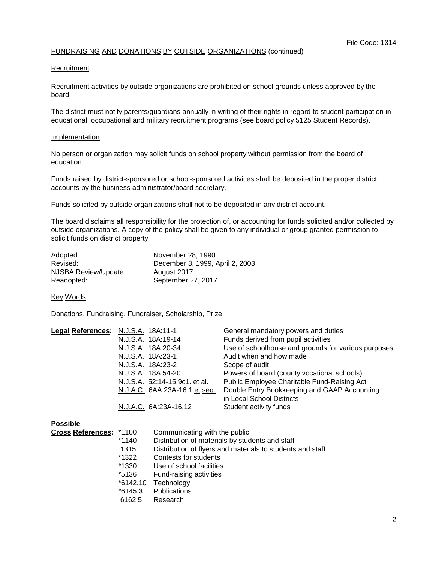## FUNDRAISING AND DONATIONS BY OUTSIDE ORGANIZATIONS (continued)

#### **Recruitment**

Recruitment activities by outside organizations are prohibited on school grounds unless approved by the board.

The district must notify parents/guardians annually in writing of their rights in regard to student participation in educational, occupational and military recruitment programs (see board policy 5125 Student Records).

#### **Implementation**

No person or organization may solicit funds on school property without permission from the board of education.

Funds raised by district-sponsored or school-sponsored activities shall be deposited in the proper district accounts by the business administrator/board secretary.

Funds solicited by outside organizations shall not to be deposited in any district account.

The board disclaims all responsibility for the protection of, or accounting for funds solicited and/or collected by outside organizations. A copy of the policy shall be given to any individual or group granted permission to solicit funds on district property.

| Adopted:             | November 28, 1990               |
|----------------------|---------------------------------|
| Revised:             | December 3, 1999, April 2, 2003 |
| NJSBA Review/Update: | August 2017                     |
| Readopted:           | September 27, 2017              |

Key Words

Donations, Fundraising, Fundraiser, Scholarship, Prize

| Legal References: N.J.S.A. 18A:11-1 |                               | General mandatory powers and duties                 |
|-------------------------------------|-------------------------------|-----------------------------------------------------|
|                                     | N.J.S.A. 18A:19-14            | Funds derived from pupil activities                 |
|                                     | N.J.S.A. 18A:20-34            | Use of schoolhouse and grounds for various purposes |
|                                     | N.J.S.A. 18A:23-1             | Audit when and how made                             |
|                                     | N.J.S.A. 18A:23-2             | Scope of audit                                      |
|                                     | N.J.S.A. 18A:54-20            | Powers of board (county vocational schools)         |
|                                     | N.J.S.A. 52:14-15.9c1. et al. | Public Employee Charitable Fund-Raising Act         |
|                                     | N.J.A.C. 6AA:23A-16.1 et seq. | Double Entry Bookkeeping and GAAP Accounting        |
|                                     |                               | in Local School Districts                           |
|                                     | N.J.A.C. 6A:23A-16.12         | Student activity funds                              |
|                                     |                               |                                                     |

#### **Possible**

| Cross References: *1100 |          | Communicating with the public                              |
|-------------------------|----------|------------------------------------------------------------|
|                         | *1140    | Distribution of materials by students and staff            |
|                         | 1315     | Distribution of flyers and materials to students and staff |
|                         | *1322    | Contests for students                                      |
|                         | *1330    | Use of school facilities                                   |
|                         | *5136    | Fund-raising activities                                    |
|                         | *6142.10 | Technology                                                 |
|                         | *6145.3  | Publications                                               |
|                         | 6162.5   | Research                                                   |